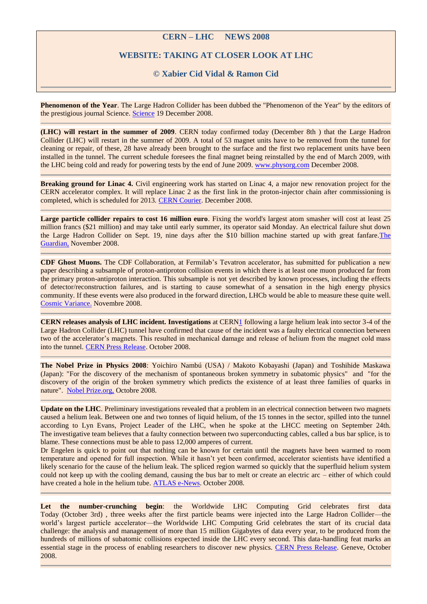## **CERN – LHC NEWS 2008**

## **WEBSITE: TAKING AT CLOSER LOOK AT LHC**

## **© Xabier Cid Vidal & Ramon Cid**

**Phenomenon of the Year**. The Large Hadron Collider has been dubbed the "Phenomenon of the Year" by the editors of the prestigious journal Science. [Science](http://www.scienceonline.org/cgi/content/full/322/5909/1769) 19 December 2008.

**(LHC) will restart in the summer of 2009**. CERN today confirmed today (December 8th ) that the Large Hadron Collider (LHC) will restart in the summer of 2009. A total of 53 magnet units have to be removed from the tunnel for cleaning or repair, of these, 28 have already been brought to the surface and the first two replacement units have been installed in the tunnel. The current schedule foresees the final magnet being reinstalled by the end of March 2009, with the LHC being cold and ready for powering tests by the end of June 2009. [www.physorg.com](http://www.physorg.com/news147970875.html) December 2008.

**Breaking ground for Linac 4.** Civil engineering work has started on Linac 4, a major new renovation project for the CERN accelerator complex. It will replace Linac 2 as the first link in the proton-injector chain after commissioning is completed, which is scheduled for 2013. [CERN Courier.](http://cerncourier.com/cws/article/cern/36665) December 2008.

**Large particle collider repairs to cost 16 million euro**. Fixing the world's largest atom smasher will cost at least 25 million francs (\$21 million) and may take until early summer, its operator said Monday. An electrical failure shut down the Large Hadron Collider on Sept. 19, nine days after the \$10 billion machine started up with great fanfare[.The](http://www.guardian.co.uk/world/feedarticle/8043069)  [Guardian,](http://www.guardian.co.uk/world/feedarticle/8043069) November 2008.

**CDF Ghost Muons.** The CDF Collaboration, at Fermilab's Tevatron accelerator, has submitted for publication a new paper describing a subsample of proton-antiproton collision events in which there is at least one muon produced far from the primary proton-antiproton interaction. This subsample is not yet described by known processes, including the effects of detector/reconstruction failures, and is starting to cause somewhat of a sensation in the high energy physics community. If these events were also produced in the forward direction, LHCb would be able to measure these quite well. [Cosmic Variance.](http://cosmicvariance.com/2008/11/02/cdf-ghost-muons/) Novembre 2008.

**CERN releases analysis of LHC incident. Investigations** at CER[N1](http://press.web.cern.ch/press/PressReleases/Releases2008/PR14.08E.html#_footnote1) following a large helium leak into sector 3-4 of the Large Hadron Collider (LHC) tunnel have confirmed that cause of the incident was a faulty electrical connection between two of the accelerator's magnets. This resulted in mechanical damage and release of helium from the magnet cold mass into the tunnel. [CERN Press Release.](http://press.web.cern.ch/press/PressReleases/Releases2008/PR14.08E.html) October 2008.

**The Nobel Prize in Physics 2008**: Yoichiro Nambú (USA) / Makoto Kobayashi (Japan) and Toshihide Maskawa (Japan): "For the discovery of the mechanism of spontaneous broken symmetry in subatomic physics" and "for the discovery of the origin of the broken symmetry which predicts the existence of at least three families of quarks in nature". [Nobel Prize.org,](http://nobelprize.org/nobel_prizes/physics/laureates/2008/index.html) Octobre 2008.

**Update on the LHC**. Preliminary investigations revealed that a problem in an electrical connection between two magnets caused a helium leak. Between one and two tonnes of liquid helium, of the 15 tonnes in the sector, spilled into the tunnel according to Lyn Evans, Project Leader of the LHC, when he spoke at the LHCC meeting on September 24th. The investigative team believes that a faulty connection between two superconducting cables, called a bus bar splice, is to blame. These connections must be able to pass 12,000 amperes of current.

Dr Engelen is quick to point out that nothing can be known for certain until the magnets have been warmed to room temperature and opened for full inspection. While it hasn't yet been confirmed, accelerator scientists have identified a likely scenario for the cause of the helium leak. The spliced region warmed so quickly that the superfluid helium system could not keep up with the cooling demand, causing the bus bar to melt or create an electric arc – either of which could have created a hole in the helium tube. [ATLAS e-News.](http://atlas-service-enews.web.cern.ch/atlas-service-enews/index.html) October 2008.

Let the number-crunching begin: the Worldwide LHC Computing Grid celebrates first data Today (October 3rd) , three weeks after the first particle beams were injected into the Large Hadron Collider—the world's largest particle accelerator—the Worldwide LHC Computing Grid celebrates the start of its crucial data challenge: the analysis and management of more than 15 million Gigabytes of data every year, to be produced from the hundreds of millions of subatomic collisions expected inside the LHC every second. This data-handling feat marks an essential stage in the process of enabling researchers to discover new physics. [CERN Press Release.](http://press.web.cern.ch/press/PressReleases/Releases2008/PR13.08E.html) Geneve, October 2008.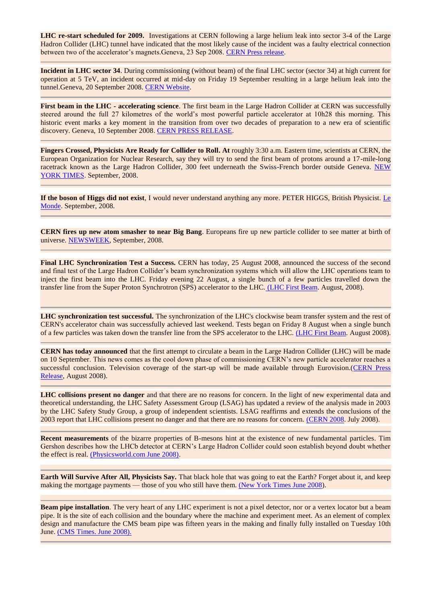**LHC re-start scheduled for 2009.** Investigations at CERN following a large helium leak into sector 3-4 of the Large Hadron Collider (LHC) tunnel have indicated that the most likely cause of the incident was a faulty electrical connection between two of the accelerator's magnets.Geneva, 23 Sep 2008. [CERN Press release.](http://press.web.cern.ch/press/PressReleases/Releases2008/PR10.08E.html)

**Incident in LHC sector 34**. During commissioning (without beam) of the final LHC sector (sector 34) at high current for operation at 5 TeV, an incident occurred at mid-day on Friday 19 September resulting in a large helium leak into the tunnel.Geneva, 20 September 2008. [CERN Website.](http://public.web.cern.ch/public/) 

**First beam in the LHC - accelerating science**. The first beam in the Large Hadron Collider at CERN was successfully steered around the full 27 kilometres of the world's most powerful particle accelerator at 10h28 this morning. This historic event marks a key moment in the transition from over two decades of preparation to a new era of scientific discovery. Geneva, 10 September 2008. [CERN PRESS RELEASE.](http://press.web.cern.ch/press/PressReleases/Releases2008/PR08.08E.html)

**Fingers Crossed, Physicists Are Ready for Collider to Roll. At** roughly 3:30 a.m. Eastern time, scientists at CERN, the European Organization for Nuclear Research, say they will try to send the first beam of protons around a 17-mile-long racetrack known as the Large Hadron Collider, 300 feet underneath the Swiss-French border outside Geneva. [NEW](http://www.nytimes.com/2007/05/15/science/15cern.html)  [YORK TIMES.](http://www.nytimes.com/2007/05/15/science/15cern.html) September, 2008.

**If the boson of Higgs did not exist**, I would never understand anything any more. PETER HIGGS, British Physicist. [Le](http://www.lemonde.fr/)  [Monde.](http://www.lemonde.fr/) September, 2008.

**CERN fires up new atom smasher to near Big Bang**. Europeans fire up new particle collider to see matter at birth of universe. [NEWSWEEK,](http://www.newsweek.com/id/157738) September, 2008.

**Final LHC Synchronization Test a Success.** CERN has today, 25 August 2008, announced the success of the second and final test of the Large Hadron Collider's beam synchronization systems which will allow the LHC operations team to inject the first beam into the LHC. Friday evening 22 August, a single bunch of a few particles travelled down the transfer line from the Super Proton Synchrotron (SPS) accelerator to the LHC. [\(LHC First Beam.](http://lhc-first-beam.web.cern.ch/lhc-first-beam/News/FinalLHCsyncTest.html) August, 2008).

**LHC synchronization test successful.** The synchronization of the LHC's clockwise beam transfer system and the rest of CERN's accelerator chain was successfully achieved last weekend. Tests began on Friday 8 August when a single bunch of a few particles was taken down the transfer line from the SPS accelerator to the LHC. [\(LHC First Beam.](http://lhc-first-beam.web.cern.ch/lhc-first-beam/News/LHCsyncTest.html) August 2008).

**CERN has today announced** that the first attempt to circulate a beam in the Large Hadron Collider (LHC) will be made on 10 September. This news comes as the cool down phase of commissioning CERN's new particle accelerator reaches a successful conclusion. Television coverage of the start-up will be made available through Eurovision.[\(CERN Press](http://press.web.cern.ch/press/PressReleases/Releases2008/PR06.08E.html)  [Release,](http://press.web.cern.ch/press/PressReleases/Releases2008/PR06.08E.html) August 2008).

**LHC collisions present no danger** and that there are no reasons for concern. In the light of new experimental data and theoretical understanding, the LHC Safety Assessment Group (LSAG) has updated a review of the analysis made in 2003 by the LHC Safety Study Group, a group of independent scientists. LSAG reaffirms and extends the conclusions of the 2003 report that LHC collisions present no danger and that there are no reasons for concern. [\(CERN 2008.](http://public.web.cern.ch/public/en/LHC/Safety-en.html) July 2008).

**Recent measurements** of the bizarre properties of B-mesons hint at the existence of new fundamental particles. Tim Gershon describes how the LHCb detector at CERN's Large Hadron Collider could soon establish beyond doubt whether the effect is real. [\(Physicsworld.com June 2008\).](http://physicsworld.com/cws/latest/print)

**Earth Will Survive After All, Physicists Say.** That black hole that was going to eat the Earth? Forget about it, and keep making the mortgage payments — those of you who still have them. [\(New York Times June 2008\)](http://www.nytimes.com/2008/06/21/science/21cernw.html?_r=1&ref=science&oref=slogin).

**Beam pipe installation**. The very heart of any LHC experiment is not a pixel detector, nor or a vertex locator but a beam pipe. It is the site of each collision and the boundary where the machine and experiment meet. As an element of complex design and manufacture the CMS beam pipe was fifteen years in the making and finally fully installed on Tuesday 10th June. [\(CMS Times. June 2008\).](http://cms-project-cmsinfo.web.cern.ch/cms-project-cmsinfo/Media/Publications/CMStimes/2008/06_09/index.html)